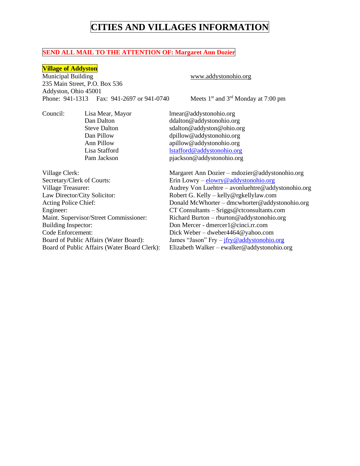### **SEND ALL MAIL TO THE ATTENTION OF: Margaret Ann Dozier**

### **Village of Addyston**

Municipal Building www.addystonohio.org 235 Main Street, P.O. Box 536 Addyston, Ohio 45001 Phone: 941-1313 Fax: 941-2697 or 941-0740 Meets 1st and 3rd Monday at 7:00 pm

Council: Lisa Mear, Mayor lmear@addystonohio.org Dan Dalton ddalton @addystonohio.org Steve Dalton sdalton @addyston @ohio.org Dan Pillow dpillow@addystonohio.org Ann Pillow apillow apillow and apillow and apillow and apillow and apillow and apillow and apillow and approximate the set of the set of the set of the set of the set of the set of the set of the set of the set of the set Lisa Stafford [lstafford@addystonohio.org](mailto:lstafford@addystonohio.org) Pam Jackson pjackson@addystonohio.org

Secretary/Clerk of Courts: Erin Lowry – elowry @addystonohio.org Law Director/City Solicitor: Robert G. Kelly – kelly@rgkellylaw.com Building Inspector: Don Mercer - dmercer1@cinci.rr.com Code Enforcement: Dick Weber – dweber4464@yahoo.com

Village Clerk: Margaret Ann Dozier – mdozier@addystonohio.org Village Treasurer: Audrey Von Luehtre – avonluehtre@addystonohio.org Acting Police Chief: Donald McWhorter – dmcwhorter @addystonohio.org Engineer: CT Consultants – Sriggs@ctconsultants.com Maint. Supervisor/Street Commissioner: Richard Burton – rburton@addystonohio.org Board of Public Affairs (Water Board): James "Jason"  $Fry - jfry@addystonohio.org$  $Fry - jfry@addystonohio.org$ Board of Public Affairs (Water Board Clerk): Elizabeth Walker – ewalker@addystonohio.org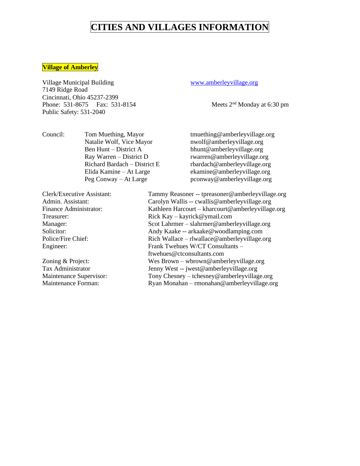### **Village of Amberley**

Village Municipal Building [www.amberleyvillage.org](http://www.amberleyvillage.org/) 7149 Ridge Road Cincinnati, Ohio 45237-2399 Phone: 531-8675 Fax: 531-8154 Meets 2<sup>nd</sup> Monday at 6:30 pm Public Safety: 531-2040

Council: Tom Muething, Mayor tmuething@amberleyvillage.org Natalie Wolf, Vice Mayor nwolf@amberleyvillage.org Ben Hunt – District A bhunt@amberleyvillage.org

Ray Warren – District D rwarren@amberleyvillage.org Richard Bardach – District E rbardach@amberleyvillage.org Elida Kamine – At Large ekamine@amberleyvillage.org Peg Conway – At Large pconway@amberleyvillage.org

Clerk/Executive Assistant: Tammy Reasoner -- tpreasoner@amberleyvillage.org Admin. Assistant: Carolyn Wallis -- cwallis @amberleyvillage.org Finance Administrator: Kathleen Harcourt – kharcourt @amberleyvillage.org Treasurer: Rick Kay – kayrick@ymail.com Manager: Scot Lahrmer – slahrmer@amberleyvillage.org Solicitor: Andy Kaake -- arkaake@woodlamping.com Police/Fire Chief: Rich Wallace – rlwallace @amberleyvillage.org Engineer: Frank Twehues W/CT Consultants – ftwehues@ctconsultants.com Zoning & Project: Wes Brown – wbrown@amberleyvillage.org Tax Administrator Jenny West -- jwest@amberleyvillage.org Maintenance Supervisor: Tony Chesney – tchesney@amberleyvillage.org Maintenance Forman: Ryan Monahan – rmonahan@amberleyvillage.org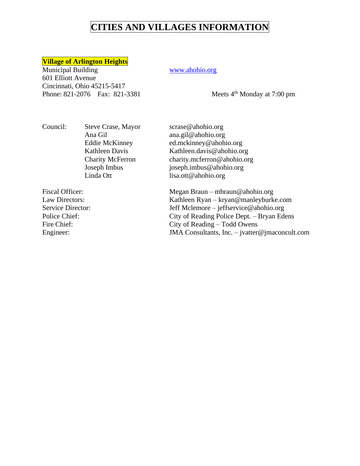### **Village of Arlington Heights**

Municipal Building WWW.ahohio.org 601 Elliott Avenue Cincinnati, Ohio 45215-5417 Phone: 821-2076 Fax: 821-3381 Meets 4<sup>th</sup> Monday at 7:00 pm

Council: Steve Crase, Mayor [scrase@ahohio.org](mailto:scrase@ahohio.org)

Ana Gil ana.gil@ahohio.org<br>Eddie McKinney ed.mckinney@ahohi [ed.mckinney@ahohio.org](mailto:ed.mckinney@ahohio.org) Kathleen Davis Kathleen.davis@ahohio.org Charity McFerron charity.mcferron@ahohio.org Joseph Imbus joseph.imbus@ahohio.org Linda Ott lisa.ott@ahohio.org

Fiscal Officer: Megan Braun – mbraun@ahohio.org Law Directors: Kathleen Ryan – kryan@manleyburke.com Service Director: Jeff Mclemore – jeffservice@ahohio.org Police Chief: City of Reading Police Dept. – Bryan Edens Fire Chief: City of Reading – Todd Owens Engineer: JMA Consultants, Inc. – jvatter@jmaconcult.com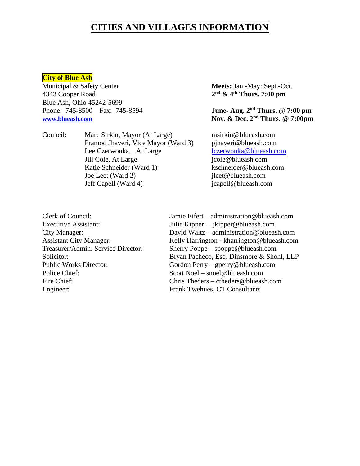### **City of Blue Ash**

Municipal & Safety Center **Meets:** Jan.-May: Sept.-Oct. 4343 Cooper Road **2** Blue Ash, Ohio 45242-5699 Phone: 745-8500 Fax: 745-8594

Council: Marc Sirkin, Mayor (At Large) msirki[n@blueash.com](mailto:tadamec@blueash.com) Pramod Jhaveri, Vice Mayor (Ward 3) pjhaveri@blueash.com Lee Czerwonka, At Large [lczerwonka@blueash.com](mailto:lczerwonka@blueash.com) Jill Cole, At Large jcole@blueash.com Katie Schneider (Ward 1) kschneider@blueash.com Joe Leet (Ward 2) jleet @blueash.com Jeff Capell (Ward 4) jcapell@blueash.com

**nd & 4th Thurs. 7:00 pm**

**June- Aug. 2<sup>nd</sup> Thurs**. @ 7:00 pm **[www.blueash.com](http://www.blueash.com/) Nov. & Dec. 2nd Thurs. @ 7:00pm**

Police Chief: Scott Noel – snoel@blueash.com Engineer: Frank Twehues, CT Consultants

Clerk of Council: Jamie Eifert – [administration@blueash.com](mailto:administration@blueash.com) Executive Assistant: Julie Kipper – jkipper@blueash.com City Manager: David Waltz – administration@blueash.com Assistant City Manager: Kelly Harrington - kharrington @blueash.com Treasurer/Admin. Service Director: Sherry Poppe – spoppe@blueash.com Solicitor: Bryan Pacheco, Esq. Dinsmore & Shohl, LLP Public Works Director: Gordon Perry – gperry@blueash.com Fire Chief: Chris Theders – ctheders@blueash.com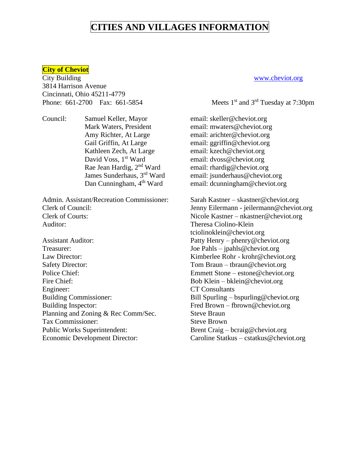### **City of Cheviot**

City Building [www.cheviot.org](http://www.cheviot.org/) 3814 Harrison Avenue Cincinnati, Ohio 45211-4779 Phone:  $661-2700$  Fax:  $661-5854$  Meets 1<sup>st</sup> and 3<sup>rd</sup> Tuesday at 7:30pm

Council: Samuel Keller, Mayor email: skeller@cheviot.org Kathleen Zech, At Large email: [kzech@cheviot.org](mailto:zech@cheviot.org) David Voss, 1<sup>st</sup> Ward email: [dvoss@cheviot.org](mailto:dvoss@cheviot.org) Rae Jean Hardig, 2<sup>nd</sup> Ward email: rhardig@cheviot.org

Admin. Assistant/Recreation Commissioner: Sarah Kastner – skastner@cheviot.org Clerk of Council: Jenny Eilermann - jeilermann @cheviot.org Clerk of Courts: Nicole Kastner – nkastner@cheviot.org Auditor: Theresa Ciolino-Klein

Treasurer: Joe Pahls – jpahls@cheviot.org Law Director: Kimberlee Rohr - krohr@cheviot.org Safety Director: Tom Braun – thraun@cheviot.org Police Chief: Emmett Stone – estone@cheviot.org Fire Chief: Bob Klein – bklein@cheviot.org Engineer: CT Consultants Building Commissioner: Bill Spurling – bspurling @cheviot.org Building Inspector: Fred Brown – fbrown @ cheviot.org Planning and Zoning & Rec Comm/Sec. Steve Braun Tax Commissioner: Steve Brown Public Works Superintendent: Brent Craig – bcraig@cheviot.org Economic Development Director: Caroline Statkus – cstatkus @cheviot.org

Mark Waters, President email: mwaters@cheviot.org Amy Richter, At Large email: arichter@cheviot.org Gail Griffin, At Large email: ggriffin@cheviot.org James Sunderhaus, 3rd Ward email: jsunderhaus@cheviot.org Dan Cunningham, 4<sup>th</sup> Ward email: dcunningham@cheviot.org

tciolinoklein@cheviot.org Assistant Auditor: Patty Henry – phenry@cheviot.org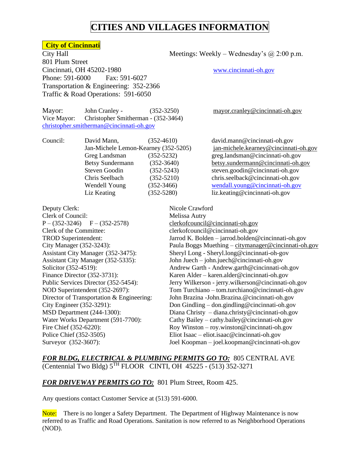### **City of Cincinnati**

801 Plum Street Cincinnati, OH 45202-1980 [www.cincinnati-oh.gov](http://www.cincinnati-oh.gov/) Phone: 591-6000 Fax: 591-6027 Transportation & Engineering: 352-2366 Traffic & Road Operations: 591-6050

Mayor: John Cranley - (352-3250) [mayor.cranley@cincinnati-oh.gov](mailto:mayor.cranley@cincinnati-oh.gov) Vice Mayor: Christopher Smitherman - (352-3464) [christopher.smitherman@cincinnati-oh.gov](mailto:christopher.smitherman@cincinnati-oh.gov)

Council: David Mann, (352-4610) david.mann@cincinnati-oh.gov Greg Landsman (352-5232) greg.landsman@cincinnati-oh.gov Betsy Sundermann (352-3640) [betsy.sundermann@cincinnati-oh.gov](mailto:betsy.sundermann@cincinnati-oh.gov) Steven Goodin (352-5243) steven.goodin@cincinnati-oh.gov Chris Seelbach (352-5210) chris.seelback@cincinnati-oh.gov Wendell Young (352-3466) [wendall.young@cincinnati-oh.gov](mailto:wendall.young@cincinnati-oh.gov)

Deputy Clerk: Nicole Crawford Clerk of Council: Melissa Autry  $P - (352-3246)$   $F - (352-2578)$  [clerkofcouncil@cincinnati-oh.gov](mailto:clerkofcouncil@cincinnati-oh.gov) Clerk of the Committee: clerkofcouncil@cincinnati-oh.gov

City Hall Meetings: Weekly – Wednesday's @ 2:00 p.m.

Jan-Michele Lemon-Kearney (352-5205) [jan-michele.kearney@cincinnati-oh.gov](mailto:jan-michele.kearney@cincinnati-oh.gov) Liz Keating (352-5280) liz.keating@cincinnati-oh.gov

TROD Superintendent: Jarrod K. Bolden – jarrod.bolden@cincinnati-oh.gov City Manager (352-3243): Paula Boggs Muething – [citymanager@cincinnati-oh.gov](mailto:citymanager@cincinnati-oh.gov) Assistant City Manager (352-3475): Sheryl Long - Sheryl.long@cincinnati-oh-gov Assistant City Manager (352-5335): John Juech – john.juech@cincinnati-oh.gov Solicitor (352-4519): Andrew Garth - Andrew.garth@cincinnati-oh.gov Finance Director (352-3731): Karen Alder – karen.alder@cincinnati-oh.gov Public Services Director (352-5454): Jerry Wilkerson - jerry.wilkerson@cincinnati-oh.gov NOD Superintendent (352-2697): Tom Turchiano – tom.turchiano@cincinnati-oh.gov Director of Transportation & Engineering: John Brazina -John.Brazina.@cincinnati-oh.gov City Engineer (352-3291): Don Gindling – don.gindling@cincinnati-oh.gov MSD Department (244-1300): Diana Christy – diana.christy@cincinnati-oh.gov Water Works Department (591-7700): Cathy Bailey – cathy.bailey@cincinnati-oh.gov Fire Chief (352-6220): Roy Winston – roy.winston@cincinnati-oh.gov Police Chief (352-3505) Eliot Isaac – eliot.isaac@cincinnati-oh.gov Surveyor (352-3607): Joel Koopman – joel.koopman@cincinnati-oh.gov

*FOR BLDG, ELECTRICAL & PLUMBING PERMITS GO TO:* 805 CENTRAL AVE (Centennial Two Bldg)  $5^{TH}$  FLOOR CINTI, OH 45225 - (513) 352-3271

### *FOR DRIVEWAY PERMITS GO TO:* 801 Plum Street, Room 425.

Any questions contact Customer Service at (513) 591-6000.

Note: There is no longer a Safety Department. The Department of Highway Maintenance is now referred to as Traffic and Road Operations. Sanitation is now referred to as Neighborhood Operations (NOD).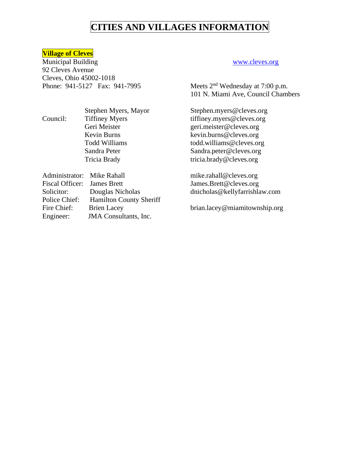### **Village of Cleves**

Municipal Building [www.cleves.org](http://www.cleves.org/) 92 Cleves Avenue Cleves, Ohio 45002-1018 Phone: 941-5127 Fax: 941-7995 Meets 2<sup>nd</sup> Wednesday at 7:00 p.m.

101 N. Miami Ave, Council Chambers

Stephen Myers, Mayor Stephen.myers@cleves.org Geri Meister [geri.meister@cleves.org](mailto:geri.meister@cleves.org) Kevin Burns [kevin.burns@cleves.org](mailto:kevin.burns@cleves.org)<br>Todd Williams todd.williams@cleves.org [todd.williams@cleves.org](mailto:todd.williams@cleves.org) Sandra Peter [Sandra.peter@cleves.org](mailto:Sandra.peter@cleves.org) Tricia Brady tricia.brady@cleves.org

> James.Brett@cleves.org dnicholas@kellyfarrishlaw.com

brian.lacey@miamitownship.org

Council: Tiffiney Myers tiffiney.myers@cleves.org

| Administrator: Mike Rahall  |                                | mike.rahall@cleves.org   |
|-----------------------------|--------------------------------|--------------------------|
| Fiscal Officer: James Brett |                                | James.Brett@cleves.org   |
| Solicitor:                  | Douglas Nicholas               | dnicholas@kellyfarrishla |
| Police Chief:               | <b>Hamilton County Sheriff</b> |                          |
| Fire Chief:                 | <b>Brien Lacey</b>             | brian.lacey@miamitown    |
| Engineer:                   | <b>JMA</b> Consultants, Inc.   |                          |
|                             |                                |                          |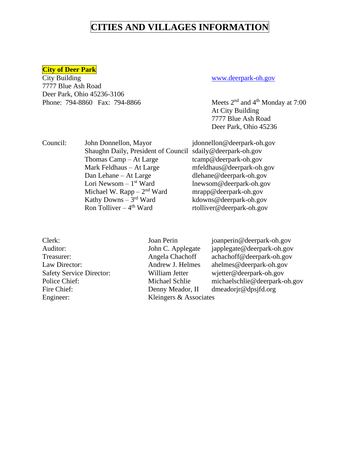### **City of Deer Park**

City Building [www.deerpark-oh.gov](http://www.deerpark-oh.gov/) 7777 Blue Ash Road Deer Park, Ohio 45236-3106 Phone:  $794-8860$  Fax:  $794-8866$  Meets  $2<sup>nd</sup>$  and  $4<sup>th</sup>$  Monday at 7:00

At City Building 7777 Blue Ash Road Deer Park, Ohio 45236

| Council: | John Donnellon, Mayor                                      | jdonnellon@deerpark-oh.gov |
|----------|------------------------------------------------------------|----------------------------|
|          | Shaughn Daily, President of Council sdaily@deerpark-oh.gov |                            |
|          | Thomas $\text{Camp} - \text{At Large}$                     | tcamp@deerpark-oh.gov      |
|          | Mark Feldhaus - At Large                                   | mfeldhaus@deerpark-oh.gov  |
|          | Dan Lehane – At Large                                      | dlehane@deerpark-oh.gov    |
|          | Lori Newsom $-1$ <sup>st</sup> Ward                        | lnewsom@deerpark-oh.gov    |
|          | Michael W. Rapp $-2nd$ Ward                                | mrapp@deerpark-oh.gov      |
|          | Kathy Downs $-3rd$ Ward                                    | kdowns@deerpark-oh.gov     |
|          | Ron Tolliver $-4$ <sup>th</sup> Ward                       | rtolliver@deerpark-oh.gov  |

| Clerk:                          |
|---------------------------------|
| Auditor:                        |
| Treasurer:                      |
| Law Director:                   |
| <b>Safety Service Director:</b> |
| Police Chief:                   |
| Fire Chief:                     |
| Engineer:                       |
|                                 |

Kleingers & Associates

Clerk: Joan Perin joanperin@deerpark-oh.gov John C. Applegate japplegate@deerpark-oh.gov Angela Chachoff achachoff@deerpark-oh.gov Andrew J. Helmes ahelmes@deerpark-oh.gov William Jetter wjetter@deerpark-oh.gov Michael Schlie michaelschlie@deerpark-oh.gov Denny Meador, II dmeadorjr@dpsjfd.org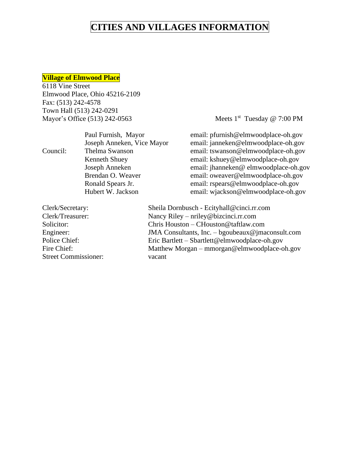### **Village of Elmwood Place**

6118 Vine Street Elmwood Place, Ohio 45216-2109 Fax: (513) 242-4578 Town Hall (513) 242-0291 Mayor's Office (513) 242-0563

Meets  $1<sup>st</sup>$  Tuesday @ 7:00 PM

|                 | Paul Furnish, Mayor        | email: pfurnish@elmwoodplace-oh.gov     |
|-----------------|----------------------------|-----------------------------------------|
|                 | Joseph Anneken, Vice Mayor | email: janneken@elmwoodplace-oh.gov     |
| Council:        | Thelma Swanson             | email: tswanson@elmwoodplace-oh.gov     |
|                 | Kenneth Shuey              | email: kshuey@elmwoodplace-oh.gov       |
|                 | Joseph Anneken             | email: jhanneken@ elmwoodplace-oh.gov   |
|                 | Brendan O. Weaver          | email: oweaver@elmwoodplace-oh.gov      |
|                 | Ronald Spears Jr.          | email: rspears@elmwoodplace-oh.gov      |
|                 | Hubert W. Jackson          | email: wjackson@elmwoodplace-oh.gov     |
| Clart/Cacrotary |                            | Shaila Dornbusch Ecityball@cinci rr.com |

Street Commissioner: vacant

Clerk/Secretary: Sheila Dornbusch - Ecityhall@cinci.rr.com Clerk/Treasurer: Nancy Riley – nriley@bizcinci.rr.com Solicitor: Chris Houston – CHouston@taftlaw.com Engineer: JMA Consultants, Inc. – bgoubeaux@jmaconsult.com Police Chief: Eric Bartlett – Sbartlett @elmwoodplace-oh.gov Fire Chief: Matthew Morgan – mmorgan@elmwoodplace-oh.gov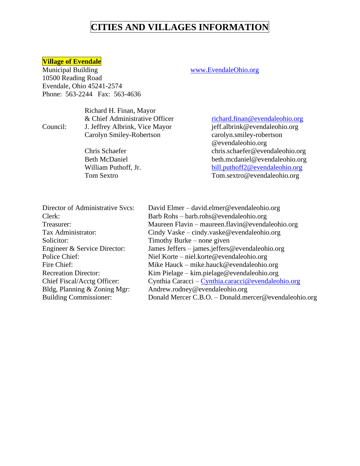### **Village of Evendale**

Municipal Building [www.EvendaleOhio.org](http://www.evendaleohio.org/) 10500 Reading Road Evendale, Ohio 45241-2574 Phone: 563-2244 Fax: 563-4636

Richard H. Finan, Mayor Council: J. Jeffrey Albrink, Vice Mayor

& Chief Administrative Officer<br>
J. Jeffrey Albrink, Vice Mayor ieff.albrink@evendaleohio.org Carolyn Smiley-Robertson carolyn.smiley-robertson @evendaleohio.org Chris Schaefer chris.schaefer@evendaleohio.org Beth McDaniel beth.mcdaniel@evendaleohio.org William Puthoff, Jr. [bill.puthoff2@evendaleohio.org](mailto:bill.puthoff2@evendaleohio.org) Tom Sextro Tom.sextro@evendaleohio.org

| Director of Administrative Svcs: | David Elmer – david.elmer@evendaleohio.org            |
|----------------------------------|-------------------------------------------------------|
| Clerk:                           | Barb Rohs – barb.rohs@evendaleohio.org                |
| Treasurer:                       | Maureen Flavin – maureen.flavin@evendaleohio.org      |
| Tax Administrator:               | Cindy Vaske – cindy.vaske@evendaleohio.org            |
| Solicitor:                       | Timothy Burke $-$ none given                          |
| Engineer & Service Director:     | James Jeffers – james.jeffers@evendaleohio.org        |
| Police Chief:                    | Niel Korte – niel.korte@evendaleohio.org              |
| Fire Chief:                      | Mike Hauck – mike.hauck@evendaleohio.org              |
| <b>Recreation Director:</b>      | Kim Pielage – kim.pielage@evendaleohio.org            |
| Chief Fiscal/Acctg Officer:      | Cynthia Caracci – Cynthia.caracci@evendaleohio.org    |
| Bldg, Planning & Zoning Mgr:     | Andrew.rodney@evendaleohio.org                        |
| <b>Building Commissioner:</b>    | Donald Mercer C.B.O. - Donald mercer@evendaleohio.org |
|                                  |                                                       |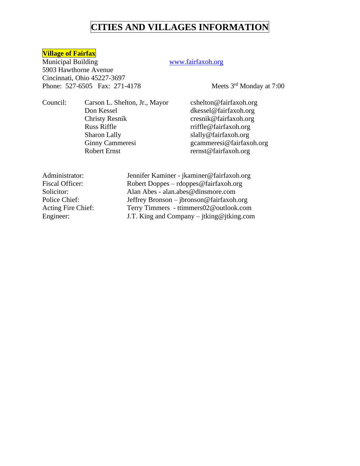### **Village of Fairfax**

Municipal Building [www.f](http://www.village/)airfaxoh.org 5903 Hawthorne Avenue Cincinnati, Ohio 45227-3697 Phone: 527-6505 Fax: 271-4178 Meets 3<sup>rd</sup> Monday at 7:00

Council: Carson L. Shelton, Jr., Mayor cshelton@fairfaxoh.org Don Kessel dkessel@fairfaxoh.org Christy Resnik cresnik@fairfaxoh.org Russ Riffle rriffle@fairfaxoh.org Sharon Lally slally@fairfaxoh.org Robert Ernst Finst rernst@fairfaxoh.org

Ginny Cammeresi [gcammeresi@fairfaxoh.org](mailto:gcammeresi@fairfaxoh.org)

Administrator: Jennifer Kaminer - jkaminer@fairfaxoh.org Fiscal Officer: Robert Doppes – rdoppes @fairfaxoh.org Solicitor: Alan Abes - alan.abes@dinsmore.com Police Chief: Jeffrey Bronson – jbronson@fairfaxoh.org Acting Fire Chief: Terry Timmers - ttimmers02@outlook.com Engineer: J.T. King and Company – jtking@jtking.com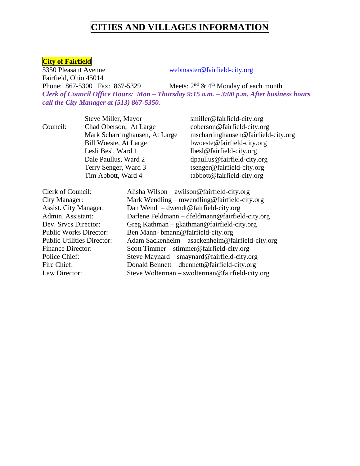### **City of Fairfield**

Fairfield, Ohio 45014

5350 Pleasant Avenue webmaster@fairfield-city.org

Phone: 867-5300 Fax: 867-5329 Meets:  $2<sup>nd</sup>$  & 4<sup>th</sup> Monday of each month *Clerk of Council Office Hours: Mon – Thursday 9:15 a.m. – 3:00 p.m. After business hours call the City Manager at (513) 867-5350.*

Steve Miller, Mayor smiller@fairfield-city.org Council: Chad Oberson, At Large coberson@fairfield-city.org Bill Woeste, At Large bwoeste@fairfield-city.org Lesli Besl, Ward 1 lbesl@fairfield-city.org Dale Paullus, Ward 2 dpaullus@fairfield-city.org Terry Senger, Ward 3 tsenger@fairfield-city.org Tim Abbott, Ward 4 tabbott@fairfield-city.org

Mark Scharringhausen, At Large mscharringhausen@fairfield-city.org

| Clerk of Council:<br>Alisha Wilson – awilson@fairfield-city.org       |                                                  |
|-----------------------------------------------------------------------|--------------------------------------------------|
| City Manager:                                                         | Mark Wendling – mwendling@fairfield-city.org     |
| <b>Assist. City Manager:</b><br>Dan Wendt – dwendt@fairfield-city.org |                                                  |
| Admin. Assistant:                                                     | Darlene Feldmann - dfeldmann@fairfield-city.org  |
| Greg Kathman $-$ gkathman@fairfield-city.org<br>Dev. Srvcs Director:  |                                                  |
| <b>Public Works Director:</b><br>Ben Mann-bmann@fairfield-city.org    |                                                  |
| <b>Public Utilities Director:</b>                                     | Adam Sackenheim - asackenheim@fairfield-city.org |
| Scott Timmer – stimmer@fairfield-city.org<br><b>Finance Director:</b> |                                                  |
| Steve Maynard - smaynard@fairfield-city.org<br>Police Chief:          |                                                  |
| Donald Bennett – dbennett@fairfield-city.org<br>Fire Chief:           |                                                  |
| Law Director:                                                         | Steve Wolterman – swolterman@fairfield-city.org  |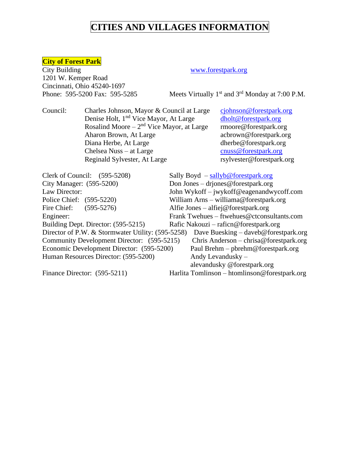### **City of Forest Park**

City Building [www.forestpark.org](http://www.forestpark.org/) 1201 W. Kemper Road Cincinnati, Ohio 45240-1697 Phone: 595-5200 Fax: 595-5285

Meets Virtually  $1<sup>st</sup>$  and  $3<sup>rd</sup>$  Monday at 7:00 P.M.

Council: Charles Johnson, Mayor & Council at Large [cjohnson@forestpark.org](mailto:cjohnson@forestpark.org) Denise Holt, 1<sup>nd</sup> Vice Mayor, At Large [dholt@forestpark.org](mailto:dholt@forestpark.org) Rosalind Moore – 2<sup>nd</sup> Vice Mayor, at Large rmoore@forestpark.org Aharon Brown, At Large acbrown@forestpark.org Diana Herbe, At Large dherbe@forestpark.org Chelsea Nuss – at Large cnuss @ forestpark.org Reginald Sylvester, At Large rsylvester@forestpark.org

Clerk of Council: (595-5208) Sally Boyd – [sallyb@forestpark.org](mailto:sallyb@forestpark.org) City Manager: (595-5200) Don Jones – driones@forestpark.org Law Director: John Wykoff – jwykoff@eagenandwycoff.com Police Chief: (595-5220) William Arns – williama@forestpark.org Fire Chief: (595-5276) Alfie Jones – alfiej@forestpark.org Engineer: Frank Twehues – ftwehues@ctconsultants.com Building Dept. Director: (595-5215) Rafic Nakouzi – raficn@forestpark.org Director of P.W. & Stormwater Utility: (595-5258) Dave Buesking – [daveb@forestpark.org](mailto:daveb@forestpark.org) Community Development Director: (595-5215) Chris Anderson – [chrisa@forestpark.org](mailto:chrisa@forestpark.org) Economic Development Director: (595-5200) Paul Brehm – [pbrehm@forestpark.org](mailto:pbrehm@forestpark.org) Human Resources Director: (595-5200) Andy Levandusky – alevandusky @forestpark.org Finance Director: (595-5211) Harlita Tomlinson – htomlinson @forestpark.org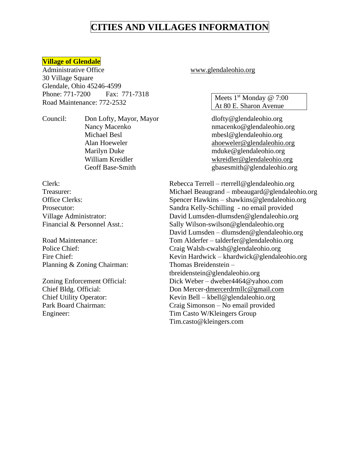### **Village of Glendale**

Administrative Office [www.glendaleohio.org](http://www.glendaleohio.org/) 30 Village Square Glendale, Ohio 45246-4599 Phone: 771-7200 Fax: 771-7318 Road Maintenance: 772-2532

Council: Don Lofty, Mayor, Mayor dlofty@glendaleohio.org Michael Besl mbesl @glendaleohio.org Marilyn Duke mduke@glendaleohio.org

Planning & Zoning Chairman: Thomas Breidenstein –

Meets  $1<sup>st</sup>$  Monday @ 7:00 At 80 E. Sharon Avenue

Nancy Macenko nmacenko@glendaleohio.org Alan Hoeweler [ahoeweler@glendaleohio.org](mailto:ahoeweler@glendaleohio.org) William Kreidler [wkreidler@glendaleohio.org](mailto:wkreidler@glendaleohio.org) Geoff Base-Smith gbasesmith@glendaleohio.org

Clerk: Rebecca Terrell – rterrell@glendaleohio.org Treasurer: Michael Beaugrand – mbeaugard@glendaleohio.org Office Clerks: Spencer Hawkins – shawkins @glendaleohio.org Prosecutor: Sandra Kelly-Schilling - no email provided Village Administrator: David Lumsden-dlumsden@glendaleohio.org Financial & Personnel Asst.: Sally Wilson-swilson@glendaleohio.org David Lumsden – dlumsden@glendaleohio.org Road Maintenance: Tom Alderfer – talderfer@glendaleohio.org Police Chief: Craig Walsh-cwalsh@glendaleohio.org Fire Chief: Kevin Hardwick – khardwick @glendaleohio.org tbreidenstein@glendaleohio.org Zoning Enforcement Official: Dick Weber – dweber4464@yahoo.com Chief Bldg. Official: Don Mercer[-dmercerdrmllc@gmail.com](mailto:dmercerdrmllc@gmail.com) Chief Utility Operator: Kevin Bell – kbell@glendaleohio.org Park Board Chairman: Craig Simonson – No email provided Engineer: Tim Casto W/Kleingers Group Tim.casto@kleingers.com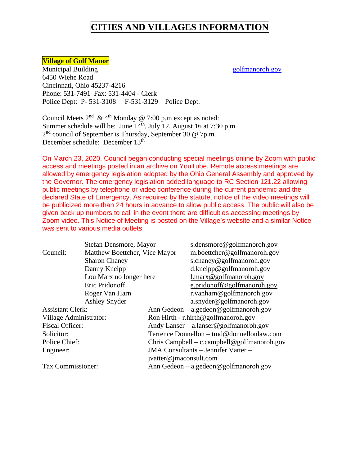### **Village of Golf Manor**

Municipal Building [golfmanoroh.gov](http://www.golfmanor.gov/) 6450 Wiehe Road Cincinnati, Ohio 45237-4216 Phone: 531-7491 Fax: 531-4404 - Clerk Police Dept: P- 531-3108 F-531-3129 – Police Dept.

Council Meets  $2<sup>nd</sup>$  & 4<sup>th</sup> Monday @ 7:00 p.m except as noted: Summer schedule will be: June  $14<sup>th</sup>$ , July 12, August 16 at 7:30 p.m. 2<sup>nd</sup> council of September is Thursday, September 30 @ 7p.m. December schedule: December 13<sup>th</sup>

On March 23, 2020, Council began conducting special meetings online by Zoom with public access and meetings posted in an archive on YouTube. Remote access meetings are allowed by emergency legislation adopted by the Ohio General Assembly and approved by the Governor. The emergency legislation added language to RC Section 121.22 allowing public meetings by telephone or video conference during the current pandemic and the declared State of Emergency. As required by the statute, notice of the video meetings will be publicized more than 24 hours in advance to allow public access. The public will also be given back up numbers to call in the event there are difficulties accessing meetings by Zoom video. This Notice of Meeting is posted on the Village's website and a similar Notice was sent to various media outlets

|                         | Stefan Densmore, Mayor        |                                             | s.densmore@golfmanoroh.gov                |
|-------------------------|-------------------------------|---------------------------------------------|-------------------------------------------|
| Council:                | Matthew Boettcher, Vice Mayor |                                             | m.boettcher@golfmanoroh.gov               |
|                         | <b>Sharon Chaney</b>          |                                             | s.chaney@golfmanoroh.gov                  |
|                         | Danny Kneipp                  |                                             | d.kneipp@golfmanoroh.gov                  |
|                         | Lou Marx no longer here       |                                             | $1$ .marx@golfmanoroh.gov                 |
|                         | Eric Pridonoff                |                                             | e.pridonoff@golfmanoroh.gov               |
|                         | Roger Van Harn                |                                             | r.vanharn@golfmanoroh.gov                 |
|                         | <b>Ashley Snyder</b>          |                                             | a.snyder@golfmanoroh.gov                  |
| <b>Assistant Clerk:</b> |                               |                                             | Ann Gedeon $-$ a.gedeon @ golfmanoroh.gov |
| Village Administrator:  |                               |                                             | Ron Hirth - r.hirth@golfmanoroh.gov       |
| <b>Fiscal Officer:</b>  |                               | Andy Lanser – a.lanser@golfmanoroh.gov      |                                           |
| Solicitor:              |                               | Terrence Donnellon – tmd@donnellonlaw.com   |                                           |
| Police Chief:           |                               | Chris Campbell – c.campbell@golfmanoroh.gov |                                           |
| Engineer:               |                               | JMA Consultants - Jennifer Vatter -         |                                           |
|                         |                               | jvatter@jmaconsult.com                      |                                           |
| Tax Commissioner:       |                               | Ann Gedeon $-$ a.gedeon @ golfmanoroh.gov   |                                           |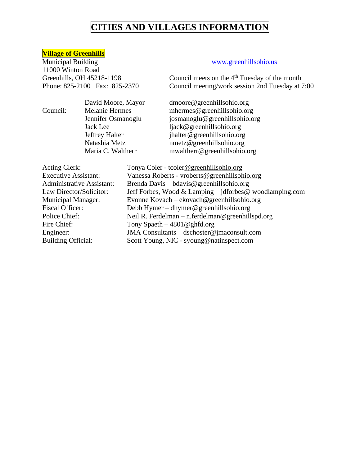### **Village of Greenhills**

Municipal Building [www.greenhillsohio.us](http://www.greenhillsohio.us/) 11000 Winton Road

Greenhills, OH 45218-1198 Council meets on the 4<sup>th</sup> Tuesday of the month Phone: 825-2100 Fax: 825-2370 Council meeting/work session 2nd Tuesday at 7:00

David Moore, Mayor dmoore@greenhillsohio.org Council: Melanie Hermes mhermes@greenhillsohio.org Jennifer Osmanoglu josmanoglu@greenhillsohio.org Jack Lee ljack@greenhillsohio.org Jeffrey Halter in its jhalter@greenhillsohio.org<br>Natashia Metz metz@greenhillsohio.org  $n$ metz@greenhillsohio.org Maria C. Waltherr mwaltherr@greenhillsohio.org

| <b>Acting Clerk:</b>             | Tonya Coler - tcoler@greenhillsohio.org                 |
|----------------------------------|---------------------------------------------------------|
| <b>Executive Assistant:</b>      | Vanessa Roberts - vroberts@greenhillsohio.org           |
| <b>Administrative Assistant:</b> | Brenda Davis – bdavis@greenhillsohio.org                |
| Law Director/Solicitor:          | Jeff Forbes, Wood & Lamping – jdforbes@ woodlamping.com |
| <b>Municipal Manager:</b>        | Evonne Kovach – ekovach @ greenhillsohio.org            |
| <b>Fiscal Officer:</b>           | Debb Hymer – dhymer@greenhillsohio.org                  |
| Police Chief:                    | Neil R. Ferdelman - n. ferdelman@greenhillspd.org       |
| Fire Chief:                      | Tony Spaeth $-4801@$ ghfd.org                           |
| Engineer:                        | JMA Consultants – dschoster@jmaconsult.com              |
| <b>Building Official:</b>        | Scott Young, NIC - syoung@natinspect.com                |
|                                  |                                                         |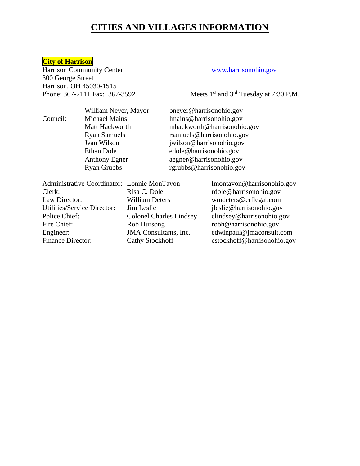### **City of Harrison**

Harrison Community Center [www.harrisonohio.gov](http://www.harrisonohio.gov/) 300 George Street Harrison, OH 45030-1515

Phone: 367-2111 Fax: 367-3592 Meets 1<sup>st</sup> and 3<sup>rd</sup> Tuesday at 7:30 P.M.

William Neyer, Mayor bneyer@harrisonohio.gov Council: Michael Mains lmains@harrisonohio.gov Matt Hackworth mhackworth@harrisonohio.gov Ryan Samuels rsamuels@harrisonohio.gov<br>Jean Wilson iwilson@harrisonohio.gov jwilson@harrisonohio.gov Ethan Dole edole@harrisonohio.gov Anthony Egner aegner@harrisonohio.gov Ryan Grubbs rgrubbs@harrisonohio.gov

| Administrative Coordinator: Lonnie MonTavon |                                | lmontavon@harrisonohio.gov  |
|---------------------------------------------|--------------------------------|-----------------------------|
| Clerk:                                      | Risa C. Dole                   | rdole@harrisonohio.gov      |
| Law Director:                               | <b>William Deters</b>          | wmdeters@erflegal.com       |
| Utilities/Service Director:                 | Jim Leslie                     | jleslie@harrisonohio.gov    |
| Police Chief:                               | <b>Colonel Charles Lindsey</b> | clindsey@harrisonohio.gov   |
| Fire Chief:                                 | Rob Hursong                    | robh@harrisonohio.gov       |
| Engineer:                                   | JMA Consultants, Inc.          | edwinpaul@jmaconsult.com    |
| Finance Director:                           | Cathy Stockhoff                | cstockhoff@harrisonohio.gov |
|                                             |                                |                             |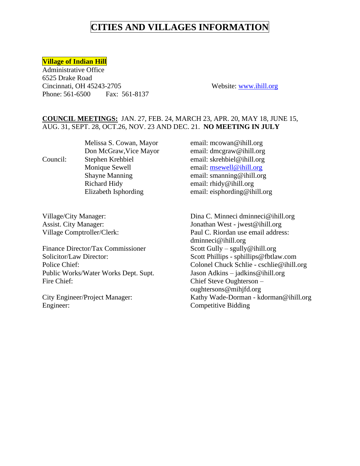### **Village of Indian Hill**

Administrative Office 6525 Drake Road Cincinnati, OH 45243-2705 Website: [www.ihill.org](http://www.ihill.org/) Phone: 561-6500 Fax: 561-8137

### **COUNCIL MEETINGS:** JAN. 27, FEB. 24, MARCH 23, APR. 20, MAY 18, JUNE 15, AUG. 31, SEPT. 28, OCT.26, NOV. 23 AND DEC. 21. **NO MEETING IN JULY**

Richard Hidy email: rhidy@ihill.org

Finance Director/Tax Commissioner Scott Gully – sgully@ihill.org Solicitor/Law Director: Scott Phillips - sphillips@fbtlaw.com Public Works/Water Works Dept. Supt. Jason Adkins – jadkins@ihill.org Fire Chief: Chief Steve Oughterson –

Engineer: Competitive Bidding

Melissa S. Cowan, Mayor email: [mcowan@ihill.org](mailto:mcowan@ihill.org) Don McGraw, Vice Mayor email: dmcgraw@ihill.org Council: Stephen Krehbiel email: skrehbiel@ihill.org Monique Sewell email: [msewell@ihill.org](mailto:msewell@ihill.org) Shayne Manning email: smanning @ihill.org Elizabeth Isphording email: eisphording @ihill.org

Village/City Manager: Dina C. Minneci [dminneci@ihill.org](mailto:dminneci@ihill.org) Assist. City Manager: Jonathan West - jwest@ihill.org Village Comptroller/Clerk: Paul C. Riordan use email address: dminneci@ihill.org Police Chief: Colonel Chuck Schlie - cschlie@ihill.org oughtersons@mihjfd.org City Engineer/Project Manager: Kathy Wade-Dorman - kdorman@ihill.org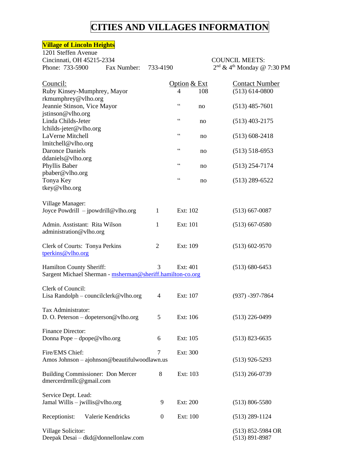7:30 PM

### **Village of Lincoln Heights**

| 1201 Steffen Avenue<br>Cincinnati, OH 45215-2334<br>Phone: 733-5900                    | Fax Number:       | 733-4190     |                       | <b>COUNCIL MEETS:</b><br>$2nd$ & 4 <sup>th</sup> Monday @ 7:30 |
|----------------------------------------------------------------------------------------|-------------------|--------------|-----------------------|----------------------------------------------------------------|
| Council:<br>Ruby Kinsey-Mumphrey, Mayor                                                |                   |              | Option & Ext<br>4     | <b>Contact Number</b><br>$(513) 614 - 0800$<br>108             |
| rkmumphrey@vlho.org<br>Jeannie Stinson, Vice Mayor                                     |                   |              | $\zeta$ $\zeta$<br>no | $(513)$ 485-7601                                               |
| jstinson@vlho.org<br>Linda Childs-Jeter                                                |                   |              | $\mbox{\bf 6}$<br>no  | $(513)$ 403-2175                                               |
| lchilds-jeter@vlho.org<br>LaVerne Mitchell                                             |                   |              | $\mbox{\bf 6}$        | $(513)$ 608-2418<br>no                                         |
| lmitchell@vlho.org<br><b>Daronce Daniels</b>                                           |                   |              | $\zeta \, \zeta$      | $(513)$ 518-6953<br>no                                         |
| ddaniels@vlho.org<br>Phyllis Baber<br>pbaber@vlho.org                                  |                   |              | $\mbox{\bf 6}$        | $(513)$ 254-7174<br>no                                         |
| Tonya Key<br>tkey@vlho.org                                                             |                   |              | $\zeta$ $\zeta$       | $(513)$ 289-6522<br>no                                         |
| Village Manager:<br>Joyce Powdrill - jpowdrill@vlho.org                                |                   | 1            | Ext: 102              | $(513)$ 667-0087                                               |
| Admin. Asstistant: Rita Wilson<br>administration@vlho.org                              |                   | 1            | Ext: 101              | $(513)$ 667-0580                                               |
| Clerk of Courts: Tonya Perkins<br>tperkins@vlho.org                                    |                   | 2            | Ext: 109              | $(513)$ 602-9570                                               |
| Hamilton County Sheriff:<br>Sargent Michael Sherman - msherman@sheriff.hamilton-co.org |                   | 3            | Ext: 401              | $(513) 680 - 6453$                                             |
| Clerk of Council:<br>Lisa Randolph - councilclerk@vlho.org                             |                   | 4            | Ext: 107              | $(937) - 397 - 7864$                                           |
| Tax Administrator:<br>D. O. Peterson – dopeterson @ vlho.org                           |                   | 5            | Ext: 106              | $(513)$ 226-0499                                               |
| Finance Director:<br>Donna Pope – dpope@vlho.org                                       |                   | 6            | Ext: 105              | $(513)$ 823-6635                                               |
| Fire/EMS Chief:<br>Amos Johnson - ajohnson@beautifulwoodlawn.us                        |                   | 7            | Ext: 300              | $(513)$ 926-5293                                               |
| Building Commissioner: Don Mercer<br>dmercerdrmllc@gmail.com                           |                   | 8            | Ext: 103              | $(513)$ 266-0739                                               |
| Service Dept. Lead:<br>Jamal Willis $-$ jwillis @ vlho.org                             |                   | 9            | Ext: 200              | $(513) 806 - 5580$                                             |
| Receptionist:                                                                          | Valerie Kendricks | $\mathbf{0}$ | Ext: 100              | $(513)$ 289-1124                                               |
| Village Solicitor:<br>Deepak Desai - dkd@donnellonlaw.com                              |                   |              |                       | $(513)$ 852-5984 OR<br>$(513) 891 - 8987$                      |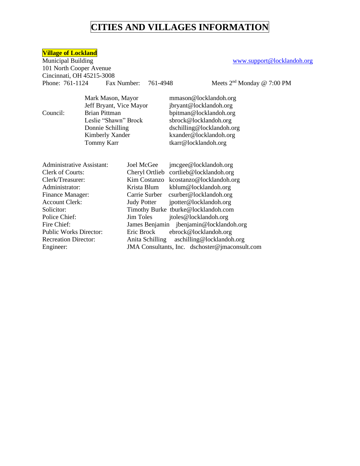**Village of Lockland** 101 North Cooper Avenue Cincinnati, OH 45215-3008 Phone: 761-1124 Fax Number: 761-4948

[www.support@locklandoh.org](http://www.support@locklandoh.org)

Meets  $2<sup>nd</sup>$  Monday @ 7:00 PM

Jeff Bryant, Vice Mayor Tommy Karr tkarr@locklandoh.org

Mark Mason, Mayor mmason@locklandoh.org<br>Jeff Bryant, Vice Mayor jbryant@locklandoh.org Council: Brian Pittman [bpitman@locklandoh.org](mailto:bpitman@locklandoh.org)<br>Leslie "Shawn" Brock sbrock@locklandoh.org sbrock@locklandoh.org Donnie Schilling dschilling@locklandoh.org Kimberly Xander kxander@locklandoh.org

| <b>Administrative Assistant:</b> | jmcgee@locklandoh.org<br>Joel McGee            |
|----------------------------------|------------------------------------------------|
| <b>Clerk of Courts:</b>          | Cheryl Ortlieb cortlieb@locklandoh.org         |
| Clerk/Treasurer:                 | Kim Costanzo kcostanzo@locklandoh.org          |
| Administrator:                   | kblum@locklandoh.org<br>Krista Blum            |
| <b>Finance Manager:</b>          | Carrie Surber csurber@locklandoh.org           |
| <b>Account Clerk:</b>            | jpotter@locklandoh.org<br><b>Judy Potter</b>   |
| Solicitor:                       | Timothy Burke tburke@locklandoh.com            |
| Police Chief:                    | Jim Toles<br>jtoles@locklandoh.org             |
| Fire Chief:                      | James Benjamin jbenjamin@locklandoh.org        |
| <b>Public Works Director:</b>    | Eric Brock<br>ebrock@locklandoh.org            |
| <b>Recreation Director:</b>      | aschilling@locklandoh.org<br>Anita Schilling   |
| Engineer:                        | JMA Consultants, Inc. dschoster@jmaconsult.com |
|                                  |                                                |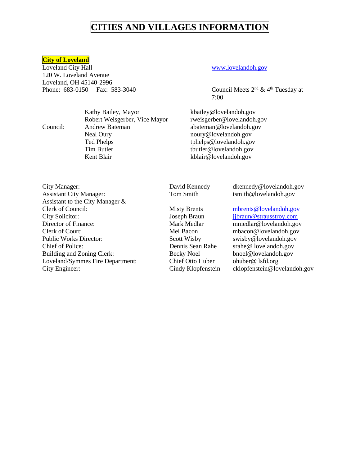### **City of Loveland**

Loveland City Hall [www.lovelandoh.gov](http://www.lovelandoh.gov/) 120 W. Loveland Avenue Loveland, OH 45140-2996 Phone:  $683-0150$  Fax:  $583-3040$  Council Meets  $2<sup>nd</sup> \& 4<sup>th</sup> Tuesday at$ 

Robert Weisgerber, Vice Mayor rweisgerber@lovelandoh.gov Council: Andrew Bateman abateman@lovelandoh.gov Neal Oury noury @lovelandoh.gov Ted Phelps tphelps@lovelandoh.gov Tim Butler tbutler @lovelandoh.gov Kent Blair kblair@lovelandoh.gov

7:00

Kathy Bailey, Mayor kbailey@lovelandoh.gov

City Manager: David Kennedy [dkennedy@lovelandoh.gov](mailto:dkennedy@lovelandoh.gov) Assistant City Manager: Tom Smith tsmith@lovelandoh.gov Assistant to the City Manager & Clerk of Council: Misty Brents [mbrents@lovelandoh.gov](mailto:mbrents@lovelandoh.gov) City Solicitor: Joseph Braun [jjbraun@strausstroy.com](mailto:jjbraun@strausstroy.com) Director of Finance: Mark Medlar mmedlar@lovelandoh.gov Clerk of Court: Mel Bacon mbacon@lovelandoh.gov Public Works Director: Scott Wisby swisby@lovelandoh.gov Chief of Police: Dennis Sean Rahe srahe@ lovelandoh.gov Building and Zoning Clerk: Becky Noel bnoel@lovelandoh.gov Loveland/Symmes Fire Department: Chief Otto Huber ohuber@ lsfd.org City Engineer: Cindy Klopfenstein cklopfenstein@lovelandoh.gov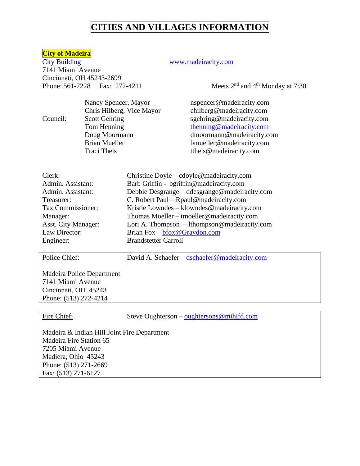### **City of Madeira**

City Building [www.madeiracity.com](http://www.madeiracity.com/) 7141 Miami Avenue Cincinnati, OH 45243-2699 Phone:  $561-7228$  Fax:  $272-4211$  Meets  $2<sup>nd</sup>$  and  $4<sup>th</sup>$  Monday at 7:30

|          | Nancy Spencer, Mayor      | nspencer@madeiracity.com  |
|----------|---------------------------|---------------------------|
|          | Chris Hilberg, Vice Mayor | chilberg@madeiracity.com  |
| Council: | <b>Scott Gehring</b>      | sgehring@madeiracity.com  |
|          | Tom Henning               | thenning@madeiracity.com  |
|          | Doug Moormann             | dmoormann@madeiracity.com |
|          | <b>Brian Mueller</b>      | bmueller@madeiracity.com  |
|          | Traci Theis               | ttheis@madeiracity.com    |
|          |                           |                           |

| Clerk:                     | Christine Doyle – cdoyle@madeiracity.com      |
|----------------------------|-----------------------------------------------|
| Admin. Assistant:          | Barb Griffin - bgriffin@madeiracity.com       |
| Admin. Assistant:          | Debbie Desgrange – ddesgrange@madeiracity.com |
| Treasurer:                 | C. Robert Paul – Rpaul@madeiracity.com        |
| Tax Commissioner:          | Kristie Lowndes – klowndes@madeiracity.com    |
| Manager:                   | Thomas Moeller – tmoeller@madeiracity.com     |
| <b>Asst. City Manager:</b> | Lori A. Thompson – lthompson@madeiracity.com  |
| Law Director:              | Brian Fox $-$ bfox @ Graydon.com              |
| Engineer:                  | <b>Brandstetter Carroll</b>                   |
|                            |                                               |

Police Chief: David A. Schaefer – dschaefer @madeiracity.com

Madeira Police Department 7141 Miami Avenue Cincinnati, OH 45243 Phone: (513) 272-4214

Fire Chief: Steve Oughterson – oughtersons @mihjfd.com

Madeira & Indian Hill Joint Fire Department Madeira Fire Station 65 7205 Miami Avenue Madiera, Ohio 45243 Phone: (513) 271-2669 Fax: (513) 271-6127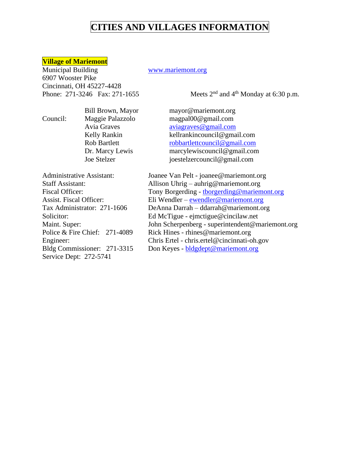### **Village of Mariemont**

Municipal Building [www.mariemont.org](http://www.mariemont.org/) 6907 Wooster Pike Cincinnati, OH 45227-4428 Phone: 271-3246 Fax: 271-1655

Meets  $2<sup>nd</sup>$  and  $4<sup>th</sup>$  Monday at 6:30 p.m.

Council: Maggie Palazzolo magpal00@gmail.com

Bill Brown, Mayor mayor@mariemont.org Avia Graves aviagraves @gmail.com Kelly Rankin kellrankincouncil@gmail.com Rob Bartlett [robbartlettcouncil@gmail.com](mailto:robbartlettcouncil@gmail.com) Dr. Marcy Lewis marcylewiscouncil@gmail.com Joe Stelzer joestelzercouncil@gmail.com

Service Dept: 272-5741

Administrative Assistant: Joanee Van Pelt - joanee@mariemont.org Staff Assistant: Allison Uhrig – auhrig@mariemont.org Fiscal Officer: Tony Borgerding - the organization of Tony Borgerding - the organization of Tony Borgerding  $\omega$  mariemont.org Assist. Fiscal Officer: Eli Wendler – [ewendler@mariemont.org](mailto:ewendler@mariemont.org) Tax Administrator: 271-1606 DeAnna Darrah – ddarrah@mariemont.org Solicitor: Ed McTigue - ejmctigue@cincilaw.net Maint. Super: John Scherpenberg - superintendent@mariemont.org Police & Fire Chief: 271-4089 Rick Hines - rhines@mariemont.org Engineer: Chris Ertel - chris.ertel@cincinnati-oh.gov Bldg Commissioner: 271-3315 Don Keyes - [bldgdept@mariemont.org](mailto:bldgdept@mariemont.org)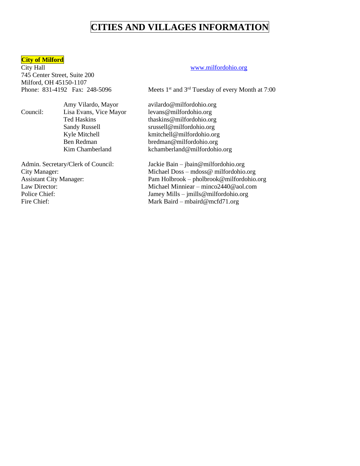### **City of Milford**

City Hall [www.milfordohio.org](http://www.milfordohio.org/) 745 Center Street, Suite 200 Milford, OH 45150-1107

Council: Lisa Evans, Vice Mayor levans@milfordohio.org

Fire Chief: Mark Baird – mbaird@mcfd71.org

Phone: 831-4192 Fax: 248-5096 Meets  $1<sup>st</sup>$  and  $3<sup>rd</sup>$  Tuesday of every Month at 7:00

Amy Vilardo, Mayor avilardo@milfordohio.org Ted Haskins thaskins@milfordohio.org Sandy Russell srussell@milfordohio.org Kyle Mitchell **Kyle Mitchell** kmitchell@milfordohio.org Ben Redman bredman@milfordohio.org Kim Chamberland kchamberland@milfordohio.org

Admin. Secretary/Clerk of Council: Jackie Bain – jbain@milfordohio.org City Manager: Michael Doss – mdoss@ milfordohio.org Assistant City Manager: Pam Holbrook – pholbrook@milfordohio.org Law Director: Michael Minniear – minco2440@aol.com Police Chief: Jamey Mills – jmills@milfordohio.org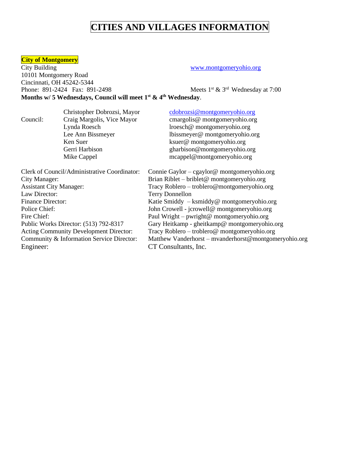# **City of Montgomery**<br>City Building

[www.montgomeryohio.org](http://www.montgomeryohio.org/) 10101 Montgomery Road Cincinnati, OH 45242-5344 Phone: 891-2424 Fax: 891-2498 Meets  $1<sup>st</sup>$  & 3<sup>rd</sup> Wednesday at 7:00 **Months w/ 5 Wednesdays, Council will meet 1st & 4 th Wednesday**.

|                                | Christopher Dobrozsi, Mayor                   | cdobrozsi@montgomeryohio.org                          |
|--------------------------------|-----------------------------------------------|-------------------------------------------------------|
| Council:                       | Craig Margolis, Vice Mayor                    | cmargolis@ montgomeryohio.org                         |
|                                | Lynda Roesch                                  | lroesch@ montgomeryohio.org                           |
|                                | Lee Ann Bissmeyer                             | lbissmeyer@ montgomeryohio.org                        |
|                                | Ken Suer                                      | ksuer@montgomeryohio.org                              |
|                                | Gerri Harbison                                | gharbison@montgomeryohio.org                          |
|                                | Mike Cappel                                   | mcappel@montgomeryohio.org                            |
|                                | Clerk of Council/Administrative Coordinator:  | Connie Gaylor – cgaylor@ montgomeryohio.org           |
| City Manager:                  |                                               | Brian Riblet – briblet @ montgomeryohio.org           |
| <b>Assistant City Manager:</b> |                                               | Tracy Roblero - troblero@montgomeryohio.org           |
| Law Director:                  |                                               | <b>Terry Donnellon</b>                                |
| <b>Finance Director:</b>       |                                               | Katie Smiddy - ksmiddy@ montgomeryohio.org            |
| Police Chief:                  |                                               | John Crowell - jcrowell@ montgomeryohio.org           |
| Fire Chief:                    |                                               | Paul Wright – pwright@ montgomeryohio.org             |
|                                | Public Works Director: (513) 792-8317         | Gary Heitkamp - gheitkamp@ montgomeryohio.org         |
|                                | <b>Acting Community Development Director:</b> | Tracy Roblero – troblero@ montgomeryohio.org          |
|                                | Community & Information Service Director:     | Matthew Vanderhorst - mvanderhorst@montgomeryohio.org |
| Engineer:                      |                                               | CT Consultants, Inc.                                  |
|                                |                                               |                                                       |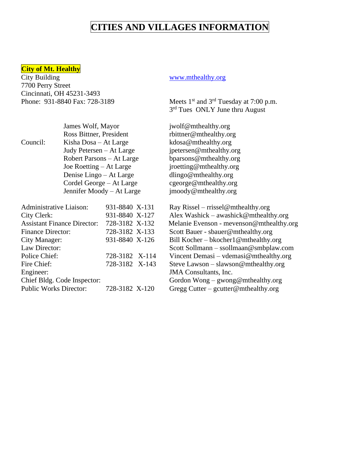### **City of Mt. Healthy**

City Building [www.mthealthy.org](http://www.mthealthy.org/) 7700 Perry Street Cincinnati, OH 45231-3493 Phone: 931-8840 Fax: 728-3189 Meets 1<sup>st</sup> and 3<sup>rd</sup> Tuesday at 7:00 p.m.

3<sup>rd</sup> Tues ONLY June thru August

James Wolf, Mayor jwolf@mthealthy.org Ross Bittner, President rbittner@mthealthy.org Council: Kisha Dosa – At Large kdosa@mthealthy.org Judy Petersen – At Large jpetersen@mthealthy.org bparsons@mthealthy.org jroetting@mthealthy.org dlingo@mthealthy.org cgeorge@mthealthy.org jmoody@mthealthy.org

Ray Rissel – rrissel@mthealthy.org Alex Washick – awashick @mthealthy.org Melanie Evenson - mevenson@mthealthy.org Scott Bauer - sbauer@mthealthy.org Bill Kocher – bkocher1@mthealthy.org Scott Sollmann – ssollmaan@smbplaw.com Vincent Demasi – vdemasi@mthealthy.org Steve Lawson – slawson @mthealthy.org JMA Consultants, Inc. Chief Bldg. Code Inspector: Gordon Wong – gwong@mthealthy.org

Public Works Director: 728-3182 X-120 Gregg Cutter – gcutter@mthealthy.org

| $300 \times 1000 \times 1000 \times 1000 \times 1000$ |                |  |
|-------------------------------------------------------|----------------|--|
| Robert Parsons – At Large                             |                |  |
| Joe Roetting – At Large                               |                |  |
| Denise Lingo – At Large                               |                |  |
| Cordel George – At Large                              |                |  |
| Jennifer Moody – At Large                             |                |  |
|                                                       |                |  |
| Administrative Liaison:                               | 931-8840 X-131 |  |
| City Clerk:                                           | 931-8840 X-127 |  |
| <b>Assistant Finance Director:</b>                    | 728-3182 X-132 |  |
| <b>Finance Director:</b>                              | 728-3182 X-133 |  |
| City Manager:                                         | 931-8840 X-126 |  |
| Law Director:                                         |                |  |
| Police Chief:                                         | 728-3182 X-114 |  |
| Fire Chief:                                           | 728-3182 X-143 |  |
| Engineer:                                             |                |  |
|                                                       |                |  |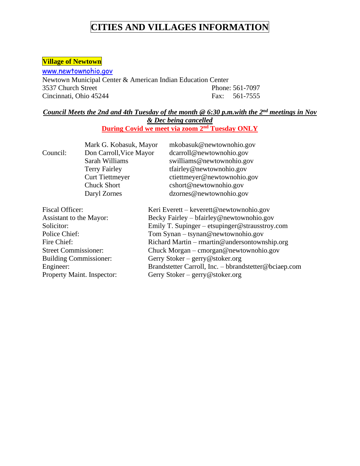## **Village of Newtown**

www.newtownohio.gov Newtown Municipal Center & American Indian Education Center 3537 Church Street Phone: 561-7097 Cincinnati, Ohio 45244 Fax: 561-7555

### *Council Meets the 2nd and 4th Tuesday of the month @ 6:30 p.m.with the 2nd meetings in Nov & Dec being cancelled*

**During Covid we meet via zoom 2nd Tuesday ONLY**

|                               | mkobasuk@newtownohio.gov                              |
|-------------------------------|-------------------------------------------------------|
|                               | dcarroll@newtownohio.gov                              |
| Sarah Williams                | swilliams@newtownohio.gov                             |
| <b>Terry Fairley</b>          | tfairley@newtownohio.gov                              |
| <b>Curt Tiettmeyer</b>        | ctiettmeyer@newtownohio.gov                           |
| <b>Chuck Short</b>            | cshort@newtownohio.gov                                |
| Daryl Zornes                  | dzornes@newtownohio.gov                               |
|                               | Keri Everett – keverett@newtownohio.gov               |
| Assistant to the Mayor:       | Becky Fairley – bfairley@newtownohio.gov              |
|                               | Emily T. Supinger – etsupinger@strausstroy.com        |
|                               | Tom Synan - tsynan@newtownohio.gov                    |
|                               | Richard Martin – rmartin@andersontownship.org         |
| <b>Street Commissioner:</b>   | Chuck Morgan - cmorgan@newtownohio.gov                |
| <b>Building Commissioner:</b> | Gerry Stoker – gerry@stoker.org                       |
|                               | Brandstetter Carroll, Inc. – bbrandstetter@bciaep.com |
| Property Maint. Inspector:    | Gerry Stoker – gerry@stoker.org                       |
|                               | Mark G. Kobasuk, Mayor<br>Don Carroll, Vice Mayor     |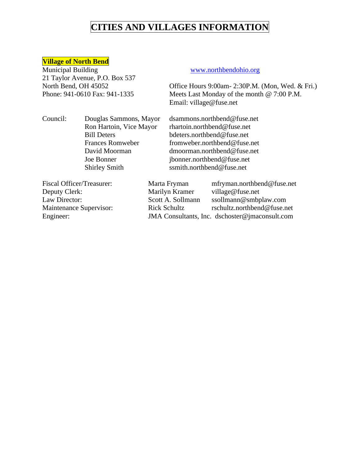### **Village of North Bend**

Municipal Building [www.northbendohio.org](http://www.northbendohio.org/) 21 Taylor Avenue, P.O. Box 537

North Bend, OH 45052 Office Hours 9:00am- 2:30P.M. (Mon, Wed. & Fri.) Phone: 941-0610 Fax: 941-1335 Meets Last Monday of the month @ 7:00 P.M. Email: village@fuse.net

Council: Douglas Sammons, Mayor [dsammons.northbend@fuse.net](mailto:dsammons.northbend@fuse.net)

Ron Hartoin, Vice Mayor rhartoin.northbend@fuse.net Bill Deters<br>
Frances Romweber<br>
Frances Romweber<br>
fromweber.northbend@fuse. [fromweber.northbend@fuse.net](mailto:fromweber.northbend@fuse.net) David Moorman dmoorman.northbend@fuse.net Joe Bonner jbonner.northbend@fuse.net Shirley Smith ssmith.northbend@fuse.net

Fiscal Officer/Treasurer: Marta Fryman mfryman.northbend@fuse.net Deputy Clerk: Marilyn Kramer village@fuse.net Law Director: Scott A. Sollmann ssollmann@smbplaw.com Maintenance Supervisor: Rick Schultz rschultz.northbend@fuse.net Engineer: JMA Consultants, Inc. dschoster@jmaconsult.com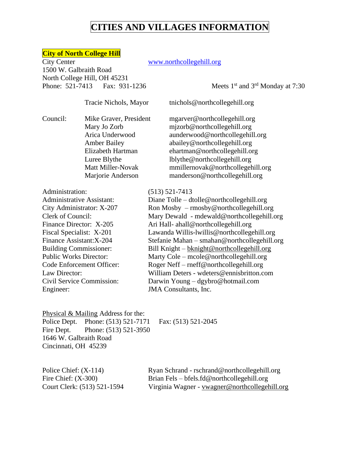### **City of North College Hill**

City Center [www.northcollegehill.org](http://www.northcollegehill.org/) 1500 W. Galbraith Road North College Hill, OH 45231 Phone: 521-7413 Fax: 931-1236 Meets 1<sup>st</sup> and 3<sup>rd</sup> Monday at 7:30

Tracie Nichols, Mayor tnichol[s@northcollegehill.org](mailto:mmason@northcollegehill.org)

Council: Mike Graver, President mgarver@northcollegehill.org Luree Blythe lblythe@northcollegehill.org

Mary Jo Zorb mizorb@northcollegehill.org Arica Underwood aunderwood@northcollegehill.org Amber Bailey abailey@northcollegehill.org Elizabeth Hartman ehartman@northcollegehill.org Matt Miller-Novak [mmillernovak@northcollegehill.org](mailto:mmillernovak@northcollegehill.org) Marjorie Anderson manderson@northcollegehill.org

### Administration: (513) 521-7413

Engineer: JMA Consultants, Inc.

Administrative Assistant: Diane Tolle – dtolle@northcollegehill.org City Administrator: X-207 Ron Mosby – rmosby@northcollegehill.org Clerk of Council: Mary Dewald - mdewald@northcollegehill.org Finance Director: X-205 Ari Hall- ahal[l@northcollegehill.org](mailto:aburton@northcollegehill.org) Fiscal Specialist: X-201 Lawanda Willis-lwillis@northcollegehill.org Finance Assistant:X-204 Stefanie Mahan – smahan@northcollegehill.org Building Commissioner: Bill Knight – [bknight@northcollegehill.org](mailto:bknight@northcollegehill.org) Public Works Director: Marty Cole – mcole@northcollegehill.org Code Enforcement Officer: Roger Neff – rnef[f@northcollegehill.org](mailto:jfulmer@northcollegehill.org) Law Director: William Deters - wdeters@ennisbritton.com Civil Service Commission: Darwin Young – dgybro@hotmail.com

Physical & Mailing Address for the: Police Dept. Phone: (513) 521-7171 Fax: (513) 521-2045 Fire Dept. Phone: (513) 521-3950 1646 W. Galbraith Road Cincinnati, OH 45239

Police Chief: (X-114) Ryan Schrand - rschrand@northcollegehill.org Fire Chief: (X-300) Brian Fels – [bfels.fd@northcollegehill.org](mailto:bfels.fd@northcollegehill.org) Court Clerk: (513) 521-1594 Virginia Wagner - [vwagner@northcollegehill.org](mailto:vwagner@northcollegehill.org)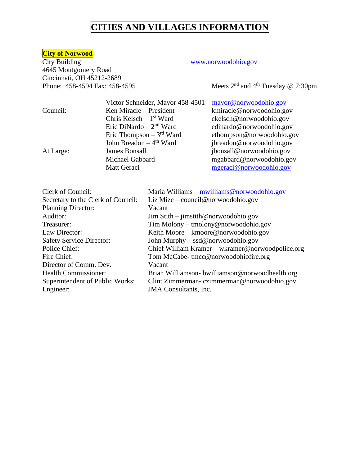# **City of Norwood**

4645 Montgomery Road Cincinnati, OH 45212-2689<br>Phone: 458-4594 Fax: 458-4595

### [www.norwoodohio.gov](http://www.norwoodohio.gov/)

Meets  $2<sup>nd</sup>$  and  $4<sup>th</sup>$  Tuesday @ 7:30pm

|           | Victor Schneider, Mayor 458-4501     | mayor@norwoodohio.gov     |
|-----------|--------------------------------------|---------------------------|
| Council:  | Ken Miracle – President              | kmiracle@norwoodohio.gov  |
|           | Chris Kelsch – $1st$ Ward            | ckelsch@norwoodohio.gov   |
|           | Eric DiNardo $-2nd$ Ward             | edinardo@norwoodohio.gov  |
|           | Eric Thompson $-3rd$ Ward            | ethompson@norwoodohio.gov |
|           | John Breadon $-4$ <sup>th</sup> Ward | jbreadon@norwoodohio.gov  |
| At Large: | <b>James Bonsall</b>                 | jbonsall@norwoodohio.gov  |
|           | Michael Gabbard                      | mgabbard@norwoodohio.gov  |
|           | Matt Geraci                          | mgeraci@norwoodohio.gov   |
|           |                                      |                           |

| Clerk of Council:                  | Maria Williams $-$ mwilliams @ norwoodohio.gov   |
|------------------------------------|--------------------------------------------------|
| Secretary to the Clerk of Council: | Liz Mize – council@norwoodohio.gov               |
| <b>Planning Director:</b>          | Vacant                                           |
| Auditor:                           | $\lim$ Stith – jimstith@norwoodohio.gov          |
| Treasurer:                         | $Tim Molony - tmolony@norwoodohio.gov$           |
| Law Director:                      | Keith Moore – kmoore@norwoodohio.gov             |
| <b>Safety Service Director:</b>    | John Murphy $-$ ssd@norwoodohio.gov              |
| Police Chief:                      | Chief William Kramer – wkramer@norwoodpolice.org |
| Fire Chief:                        | Tom McCabe-tmcc@norwoodohiofire.org              |
| Director of Comm. Dev.             | Vacant                                           |
| <b>Health Commissioner:</b>        | Brian Williamson- bwilliamson@norwoodhealth.org  |
| Superintendent of Public Works:    | Clint Zimmerman-czimmerman@norwoodohio.gov       |
| Engineer:                          | <b>JMA</b> Consultants, Inc.                     |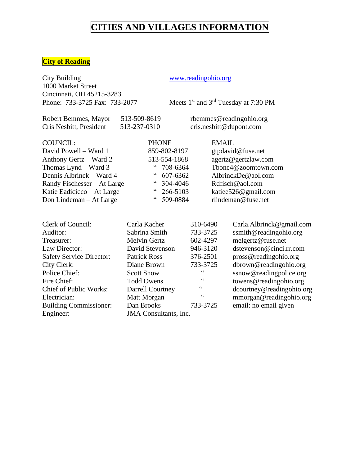### **City of Reading**

City Building [www.readingohio.org](http://www.readingohio.org/) 1000 Market Street Cincinnati, OH 45215-3283<br>Phone: 733-3725 Fax: 733-2077

Meets 1<sup>st</sup> and 3<sup>rd</sup> Tuesday at 7:30 PM

Robert Bemmes, Mayor 513-509-8619 rbemmes@readingohio.org Cris Nesbitt, President 513-237-0310 cris.nesbitt@dupont.com

| COUNCIL:                    | <b>PHONE</b>       | <b>EMAIL</b>        |
|-----------------------------|--------------------|---------------------|
| David Powell - Ward 1       | 859-802-8197       | gtpdavid@fuse.net   |
| Anthony Gertz – Ward 2      | 513-554-1868       | agertz@gertzlaw.com |
| Thomas Lynd - Ward 3        | $\degree$ 708-6364 | Tbone4@zoomtown.com |
| Dennis Albrinck – Ward 4    | $\degree$ 607-6362 | AlbrinckDe@aol.com  |
| Randy Fischesser – At Large | $\degree$ 304-4046 | Rdfisch@aol.com     |
| Katie Eadicicco – At Large  | $" 266-5103$       | katiee526@gmail.com |
| Don Lindeman – At Large     | " 509-0884         | rlindeman@fuse.net  |

| Carla Kacher            | 310-6490 | Carla.Albrinck@gmail.com     |
|-------------------------|----------|------------------------------|
| Sabrina Smith           | 733-3725 | ssmith@readingohio.org       |
| <b>Melvin Gertz</b>     | 602-4297 | melgertz@fuse.net            |
| David Stevenson         | 946-3120 | dstevenson@cinci.rr.com      |
| <b>Patrick Ross</b>     | 376-2501 | pross@readingohio.org        |
| Diane Brown             | 733-3725 | dbrown@readingohio.org       |
| <b>Scott Snow</b>       | 66       | ssnow@readingpolice.org      |
| <b>Todd Owens</b>       | 66       | towens@readingohio.org       |
| <b>Darrell Courtney</b> | 66       | dcourtney@readingohio.org    |
| Matt Morgan             | 66       | mmorgan@readingohio.org      |
| Dan Brooks              | 733-3725 | email: no email given        |
|                         |          |                              |
|                         |          | <b>JMA</b> Consultants, Inc. |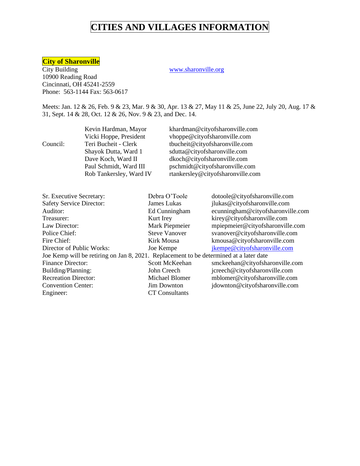### **City of Sharonville**

City Building WWW.sharonville.org 10900 Reading Road Cincinnati, OH 45241-2559 Phone: 563-1144 Fax: 563-0617

Meets: Jan. 12 & 26, Feb. 9 & 23, Mar. 9 & 30, Apr. 13 & 27, May 11 & 25, June 22, July 20, Aug. 17 & 31, Sept. 14 & 28, Oct. 12 & 26, Nov. 9 & 23, and Dec. 14.

|          | Kevin Hardman, Mayor    | khardman@cityofsharonville.com    |
|----------|-------------------------|-----------------------------------|
|          | Vicki Hoppe, President  | vhoppe@cityofsharonville.com      |
| Council: | Teri Bucheit - Clerk    | tbucheit@cityofsharonville.com    |
|          | Shayok Dutta, Ward 1    | sdutta@cityofsharonville.com      |
|          | Dave Koch, Ward II      | dkoch@cityofsharonville.com       |
|          | Paul Schmidt, Ward III  | pschmidt@cityofsharonville.com    |
|          | Rob Tankersley, Ward IV | rtankersley@cityofsharonville.com |
|          |                         |                                   |

| Sr. Executive Secretary:                                                               | Debra O'Toole         | dotoole@cityofsharonville.com     |
|----------------------------------------------------------------------------------------|-----------------------|-----------------------------------|
| <b>Safety Service Director:</b>                                                        | James Lukas           | jlukas@cityofsharonville.com      |
| Auditor:                                                                               | Ed Cunningham         | ecunningham@cityofsharonville.com |
| Treasurer:                                                                             | Kurt Irey             | kirey@cityofsharonville.com       |
| Law Director:                                                                          | Mark Piepmeier        | mpiepmeier@cityofsharonville.com  |
| Police Chief:                                                                          | <b>Steve Vanover</b>  | svanover@cityofsharonville.com    |
| Fire Chief:                                                                            | Kirk Mousa            | kmousa@cityofsharonville.com      |
| Director of Public Works:                                                              | Joe Kempe             | jkempe@cityofsharonville.com      |
| Joe Kemp will be retiring on Jan 8, 2021. Replacement to be determined at a later date |                       |                                   |
| <b>Finance Director:</b>                                                               | Scott McKeehan        | smckeehan@cityofsharonville.com   |
| Building/Planning:                                                                     | John Creech           | jcreech@cityofsharonville.com     |
| <b>Recreation Director:</b>                                                            | Michael Blomer        | mblomer@cityofsharonville.com     |
| <b>Convention Center:</b>                                                              | <b>Jim Downton</b>    | jdownton@cityofsharonville.com    |
| Engineer:                                                                              | <b>CT</b> Consultants |                                   |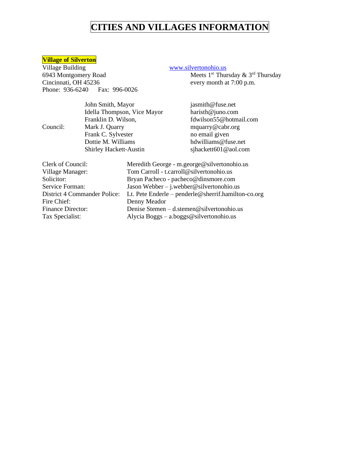# **Village of Silverton**

Village Building<br>
6943 Montgomery Road<br>
Meets 1<sup>st</sup> Thur 6943 Montgomery Road Meets 1<sup>st</sup> Thursday & 3<sup>rd</sup> Thursday Cincinnati, OH 45236 every month at 7:00 p.m. Phone: 936-6240 Fax: 996-0026

|          | John Smith, Mayor             | jasmith@fuse.net       |
|----------|-------------------------------|------------------------|
|          | Idella Thompson, Vice Mayor   | haristh@juno.com       |
|          | Franklin D. Wilson,           | fdwilson55@hotmail.com |
| Council: | Mark J. Quarry                | mquarry@cabr.org       |
|          | Frank C. Sylvester            | no email given         |
|          | Dottie M. Williams            | hdwilliams@fuse.net    |
|          | <b>Shirley Hackett-Austin</b> | sjhackett601@aol.com   |
|          |                               |                        |

| Clerk of Council:            | Meredith George - m.george@silvertonohio.us         |
|------------------------------|-----------------------------------------------------|
| Village Manager:             | Tom Carroll - t.carroll@silvertonohio.us            |
| Solicitor:                   | Bryan Pacheco - pacheco@dinsmore.com                |
| Service Forman:              | Jason Webber $-$ j.webber @silvertonohio.us         |
| District 4 Commander Police: | Lt. Pete Enderle – penderle@sherrif.hamilton-co.org |
| Fire Chief:                  | Denny Meador                                        |
| <b>Finance Director:</b>     | Denise Stemen $-$ d.stemen@silvertonohio.us         |
| Tax Specialist:              | Alycia Boggs $-$ a.boggs@silvertonohio.us           |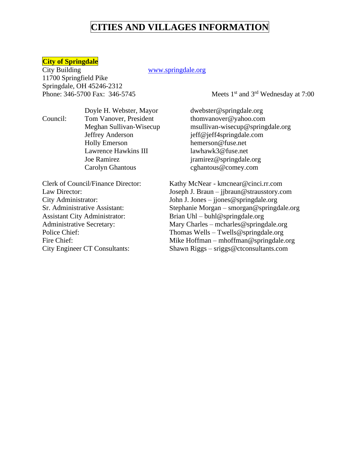### **City of Springdale**

City Building WWW.springdale.org 11700 Springfield Pike Springdale, OH 45246-2312 Phone: 346-5700 Fax: 346-5745

st and 3rd Wednesday at 7:00

Council: Tom Vanover, President [thomvanover@yahoo.com](mailto:thomvanover@yahoo.com) Jeffrey Anderson jeff@jeff4springdale.com Holly Emerson hemerson @fuse.net Lawrence Hawkins III lawhawk3@fuse.net Joe Ramirez *jramirez@springdale.org* Carolyn Ghantous [cghantous@comey.com](mailto:cghantous@comey.com)

Assistant City Administrator: Brian Uhl – buhl@springdale.org

Doyle H. Webster, Mayor dwebster@springdale.org Meghan Sullivan-Wisecup [msullivan-wisecup@springdale.org](mailto:msullivan-wisecup@springdale.org)

Clerk of Council/Finance Director: Kathy McNear - kmcnear@cinci.rr.com Law Director: Joseph J. Braun – jjbraun@strausstory.com City Administrator: John J. Jones – jjones @springdale.org Sr. Administrative Assistant: Stephanie Morgan – smorgan@springdale.org Administrative Secretary: Mary Charles – mcharles @springdale.org Police Chief: Thomas Wells – Twells @springdale.org Fire Chief: Mike Hoffman – mhoffman @springdale.org City Engineer CT Consultants: Shawn Riggs – sriggs@ctconsultants.com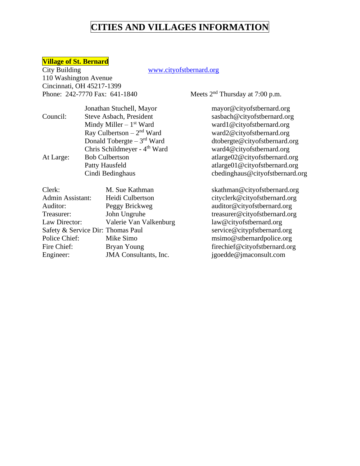# **Village of St. Bernard**

110 Washington Avenue Cincinnati, OH 45217-1399 Phone: 242-7770 Fax: 641-1840

### www.cityofstbernard.org

Meets  $2<sup>nd</sup>$  Thursday at 7:00 p.m.

|           | Jonathan Stuchell, Mayor                 | mayor@cityofstbernard.org     |
|-----------|------------------------------------------|-------------------------------|
| Council:  | Steve Asbach, President                  | sasbach@cityofstbernard.org   |
|           | Mindy Miller $-1st$ Ward                 | ward1@cityofstbernard.org     |
|           | Ray Culbertson $-2nd$ Ward               | ward2@cityofstbernard.org     |
|           | Donald Tobergte $-3rd$ Ward              | dtobergte@cityofstbernard.org |
|           | Chris Schildmeyer - 4 <sup>th</sup> Ward | ward4@cityofstbernard.org     |
| At Large: | <b>Bob Culbertson</b>                    | atlarge02@cityofstbernard.org |
|           | Patty Hausfeld                           | atlarge01@cityofstbernard.org |
|           | Cindi Bedinghaus                         | cbedinghaus@cityofstbernard.  |

| Steve Asbach, President                  | sasbach@cityofstbernard.org     |
|------------------------------------------|---------------------------------|
| Mindy Miller $-1st$ Ward                 | ward1@cityofstbernard.org       |
| Ray Culbertson $-2nd$ Ward               | ward2@cityofstbernard.org       |
| Donald Tobergte $-3rd$ Ward              | dtobergte@cityofstbernard.org   |
| Chris Schildmeyer - 4 <sup>th</sup> Ward | ward4@cityofstbernard.org       |
| <b>Bob Culbertson</b>                    | atlarge02@cityofstbernard.org   |
| Patty Hausfeld                           | atlarge01@cityofstbernard.org   |
| Cindi Bedinghaus                         | cbedinghaus@cityofstbernard.org |
|                                          |                                 |

| Clerk:                            | M. Sue Kathman         | skathman@cityofstbernard.org  |
|-----------------------------------|------------------------|-------------------------------|
| Admin Assistant:                  | Heidi Culbertson       | cityclerk@cityofstbernard.org |
| Auditor:                          | Peggy Brickweg         | auditor@cityofstbernard.org   |
| Treasurer:                        | John Ungruhe           | treasurer@cityofstbernard.org |
| Law Director:                     | Valerie Van Valkenburg | law@cityofstbernard.org       |
| Safety & Service Dir: Thomas Paul |                        | service@citypfstbernard.org   |
| Police Chief:                     | Mike Simo              | msimo@stbernardpolice.org     |
| Fire Chief:                       | Bryan Young            | firechief@cityofstbernard.org |
| Engineer:                         | JMA Consultants, Inc.  | jgoedde@jmaconsult.com        |
|                                   |                        |                               |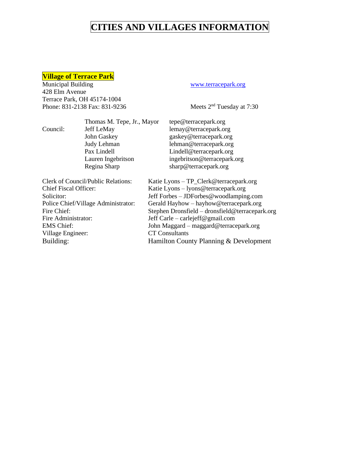# **Village of Terrace Park**

428 Elm Avenue Terrace Park, OH 45174-1004 Phone: 831-2138 Fax: 831-9236 Meets 2<sup>nd</sup> Tuesday at 7:30

### [www.terracepark.org](http://www.terracepark.org/)

|                                     | Thomas M. Tepe, Jr., Mayor                | tepe@terracepark.org                            |
|-------------------------------------|-------------------------------------------|-------------------------------------------------|
| Council:                            | Jeff LeMay                                | lemay@terracepark.org                           |
|                                     | John Gaskey                               | gaskey@terracepark.org                          |
|                                     | Judy Lehman                               | lehman@terracepark.org                          |
|                                     | Pax Lindell                               | Lindell@terracepark.org                         |
|                                     | Lauren Ingebritson                        | ingebritson@terracepark.org                     |
|                                     | Regina Sharp                              | sharp@terracepark.org                           |
|                                     | <b>Clerk of Council/Public Relations:</b> | Katie Lyons – TP_Clerk@terracepark.org          |
| <b>Chief Fiscal Officer:</b>        |                                           | Katie Lyons - lyons@terracepark.org             |
| Solicitor:                          |                                           | Jeff Forbes – JDForbes@woodlamping.com          |
| Police Chief/Village Administrator: |                                           | Gerald Hayhow – hayhow@terracepark.org          |
| Fire Chief:                         |                                           | Stephen Dronsfield - dronsfield@terracepark.org |
| Fire Administrator:                 |                                           | Jeff Carle – carlejeff@gmail.com                |
| <b>EMS Chief:</b>                   |                                           | John Maggard – maggard@terracepark.org          |
| Village Engineer:                   |                                           | <b>CT</b> Consultants                           |
| Building:                           |                                           | Hamilton County Planning & Development          |
|                                     |                                           |                                                 |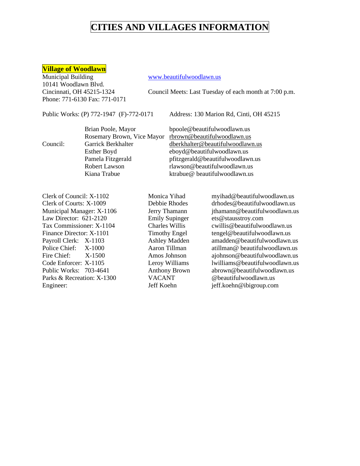### **Village of Woodlawn**

Municipal Building [www.beautifulwoodlawn.us](http://www.beautifulwoodlawn.us/) 10141 Woodlawn Blvd. Phone: 771-6130 Fax: 771-0171

Cincinnati, OH 45215-1324 Council Meets: Last Tuesday of each month at 7:00 p.m.

Public Works: (P) 772-1947 (F)-772-0171 Address: 130 Marion Rd, Cinti, OH 45215

|          | Brian Poole, Mayor         | bpoole@beautifulwoodlawn.us      |
|----------|----------------------------|----------------------------------|
|          | Rosemary Brown, Vice Mayor | rbrown@beautifulwoodlawn.us      |
| Council: | Garrick Berkhalter         | dberkhalter@beautifulwoodlawn.us |
|          | Esther Boyd                | eboyd@beautifulwoodlawn.us       |
|          | Pamela Fitzgerald          | pfitzgerald@beautifulwoodlawn.us |
|          | Robert Lawson              | rlawson@beautifulwoodlawn.us     |
|          | Kiana Trabue               | ktrabue@beautifulwoodlawn.us     |

Clerk of Council: X-1102 Monica Yihad myihad@beautifulwoodlawn.us Clerk of Courts: X-1009 Debbie Rhodes drhodes@beautifulwoodlawn.us Municipal Manager: X-1106 Jerry Thamann ithamann @beautifulwoodlawn.us Law Director: 621-2120 Emily Supinger ets@stausstroy.com Tax Commissioner: X-1104 Charles Willis cwillis@beautifulwoodlawn.us Finance Director: X-1101 Timothy Engel tengel@beautifulwoodlawn.us Payroll Clerk: X-1103 Ashley Madden amadden@beautifulwoodlawn.us Police Chief: X-1000 Aaron Tillman atillman atillman beautiful woodlawn.us Fire Chief: X-1500 Amos Johnson ajohnson @beautifulwoodlawn.us Code Enforcer: X-1105 Leroy Williams lwilliams@beautifulwoodlawn.us Public Works: 703-4641 Anthony Brown abrown @beautifulwoodlawn.us Parks & Recreation: X-1300 VACANT @beautifulwoodlawn.us Engineer: Jeff Koehn jeff.koehn@ibigroup.com